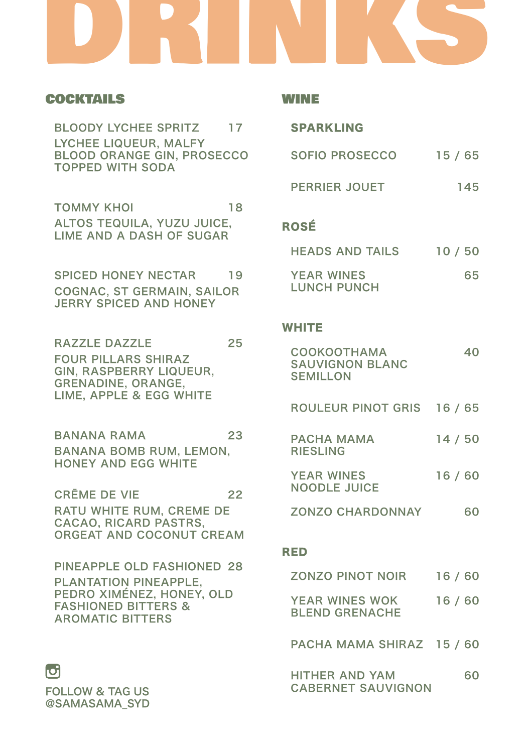# DRINKS

# COCKTAILS

|    | <b>SPARKLING</b>                                                                                                                                                                                                                                                                                                                                                                                   |
|----|----------------------------------------------------------------------------------------------------------------------------------------------------------------------------------------------------------------------------------------------------------------------------------------------------------------------------------------------------------------------------------------------------|
|    | BLOOD ORANGE GIN. PROSECCO SOFIO PROSEC                                                                                                                                                                                                                                                                                                                                                            |
|    | <b>PERRIER JOUET</b>                                                                                                                                                                                                                                                                                                                                                                               |
| 18 | ROSÉ                                                                                                                                                                                                                                                                                                                                                                                               |
|    | <b>HEADS AND TA</b>                                                                                                                                                                                                                                                                                                                                                                                |
|    | <b>YEAR WINES</b><br><b>LUNCH PUNCH</b>                                                                                                                                                                                                                                                                                                                                                            |
|    | <b>WHITE</b>                                                                                                                                                                                                                                                                                                                                                                                       |
| 25 | <b>COOKOOTHAM</b><br><b>SAUVIGNON BL</b><br><b>SEMILLON</b>                                                                                                                                                                                                                                                                                                                                        |
|    | <b>ROULEUR PINO</b>                                                                                                                                                                                                                                                                                                                                                                                |
| 23 | PACHA MAMA<br><b>RIESLING</b>                                                                                                                                                                                                                                                                                                                                                                      |
|    | <b>YEAR WINES</b><br><b>NOODLE JUICE</b>                                                                                                                                                                                                                                                                                                                                                           |
|    | <b>ZONZO CHARD</b>                                                                                                                                                                                                                                                                                                                                                                                 |
|    | <b>RED</b>                                                                                                                                                                                                                                                                                                                                                                                         |
|    | <b>ZONZO PINOT I</b>                                                                                                                                                                                                                                                                                                                                                                               |
|    | <b>YEAR WINES W</b><br><b>BLEND GRENAC</b>                                                                                                                                                                                                                                                                                                                                                         |
|    | <b>PACHA MAMA:</b>                                                                                                                                                                                                                                                                                                                                                                                 |
|    | BLOODY LYCHEE SPRITZ 17<br>ALTOS TEQUILA, YUZU JUICE.<br>LIME AND A DASH OF SUGAR<br>SPICED HONEY NECTAR 19<br><b>COGNAC, ST GERMAIN, SAILOR</b><br><b>JERRY SPICED AND HONEY</b><br>GIN, RASPBERRY LIQUEUR,<br>LIME, APPLE & EGG WHITE<br><b>BANANA BOMB RUM, LEMON.</b><br>22<br>RATU WHITE RUM, CREME DE<br>ORGEAT AND COCONUT CREAM<br>PINEAPPLE OLD FASHIONED 28<br>PEDRO XIMÉNEZ, HONEY, OLD |

# WINE

| <b>SPARKLING</b>       |         |  |
|------------------------|---------|--|
| SOFIO PROSECCO         | 15 / 65 |  |
| <b>PERRIER JOUET</b>   | 145     |  |
| ROSÉ                   |         |  |
| <b>HEADS AND TAILS</b> | 10 / 50 |  |
| <b>YEAR WINES</b>      | бh      |  |

#### TE

| COOKOOTHAMA<br><b>SAUVIGNON BLANC</b><br><b>SEMILLON</b> |         |
|----------------------------------------------------------|---------|
| ROULEUR PINOT GRIS                                       | 16 / 65 |
| PACHA MAMA<br><b>RIESLING</b>                            | 14 / 50 |
| <b>YEAR WINES</b><br>NOODLE JUICE                        | 16 / 60 |
| ZONZO CHARDONNAY                                         | 60      |

| ZONZO PINOT NOIR                            | 16 / 60 |    |
|---------------------------------------------|---------|----|
| YEAR WINES WOK<br><b>BLEND GRENACHE</b>     | 16 / 60 |    |
| PACHA MAMA SHIRAZ 15 / 60                   |         |    |
| HITHER AND YAM<br><b>CABERNET SAUVIGNON</b> |         | 60 |

 $\bullet$ 

FOLLOW & TAG US @SAMASAMA\_SYD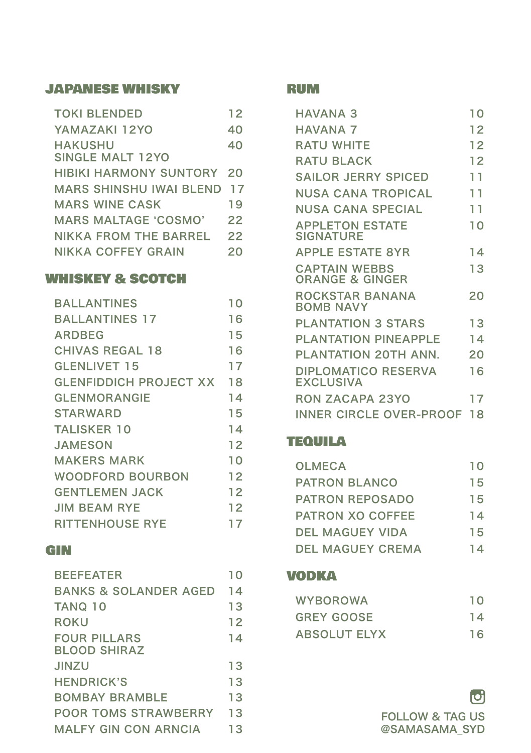## JAPANESE WHISKY

| <b>TOKI BLENDED</b>              | 12 |
|----------------------------------|----|
| YAMAZAKI 12YO                    | 40 |
| HAKUSHU<br>SINGLE MALT 12YO      | 40 |
| <b>HIBIKI HARMONY SUNTORY 20</b> |    |
| MARS SHINSHU IWAI BLEND 17       |    |
| MARS WINE CASK                   | 19 |
| MARS MALTAGE 'COSMO'             | 22 |
| NIKKA FROM THE BARREL            | 22 |
| NIKKA COFFEY GRAIN               | 20 |
|                                  |    |

# WHISKEY & SCOTCH

| <b>BALLANTINES</b>            | 10 |
|-------------------------------|----|
| <b>BALLANTINES 17</b>         | 16 |
| ARDBEG                        | 15 |
| <b>CHIVAS REGAL 18</b>        | 16 |
| <b>GLENLIVET 15</b>           | 17 |
| <b>GLENFIDDICH PROJECT XX</b> | 18 |
| <b>GLENMORANGIE</b>           | 14 |
| STARWARD                      | 15 |
| <b>TALISKER 10</b>            | 14 |
| JAMESON                       | 12 |
| <b>MAKERS MARK</b>            | 10 |
| WOODFORD BOURBON              | 12 |
| GENTLEMEN JACK                | 12 |
| <b>JIM BEAM RYE</b>           | 12 |
| <b>RITTENHOUSE RYE</b>        | 17 |

# **GIN**

| <b>BEEFEATER</b>                           | 10 |
|--------------------------------------------|----|
| BANKS & SOLANDER AGED                      | 14 |
| TANO 10                                    | 13 |
| ROKU                                       | 12 |
| <b>FOUR PILLARS</b><br><b>BLOOD SHIRAZ</b> | 14 |
| JINZU                                      | 13 |
| <b>HENDRICK'S</b>                          | 13 |
| BOMBAY BRAMBLE                             | 13 |
| POOR TOMS STRAWBERRY                       | 13 |
| MALFY GIN CON ARNCIA                       | 13 |
|                                            |    |

#### RUM

| HAVANA 3                                | 10 |
|-----------------------------------------|----|
| HAVANA 7                                | 12 |
| RATU WHITE                              | 12 |
| <b>RATU BLACK</b>                       | 12 |
| <b>SAILOR JERRY SPICED</b>              | 11 |
| NUSA CANA TROPICAL                      | 11 |
| NUSA CANA SPECIAL                       | 11 |
| <b>APPLETON ESTATE</b><br>SIGNATURE     | 10 |
| <b>APPLE ESTATE 8YR</b>                 | 14 |
| <b>CAPTAIN WEBBS</b><br>ORANGE & GINGER | 13 |
| ROCKSTAR BANANA<br><b>BOMB NAVY</b>     | 20 |
| PLANTATION 3 STARS                      | 13 |
| PLANTATION PINEAPPLE                    | 14 |
| PLANTATION 20TH ANN.                    | 20 |
| <b>DIPLOMATICO RESERVA</b><br>EXCLUSIVA | 16 |
| RON ZACAPA 23YO                         | 17 |
| INNER CIRCLE OVER-PROOF 18              |    |
|                                         |    |

# TEQUILA

| OLMECA                  | 10 |
|-------------------------|----|
| PATRON BLANCO           | 15 |
| PATRON REPOSADO         | 15 |
| PATRON XO COFFEE        | 14 |
| DEL MAGUEY VIDA         | 15 |
| <b>DEL MAGUEY CREMA</b> |    |

### VODKA

| WYBOROWA            | 10 |
|---------------------|----|
| <b>GREY GOOSE</b>   | 14 |
| <b>ABSOLUT ELYX</b> | 16 |

 $\bullet$ FOLLOW & TAG US @SAMASAMA\_SYD